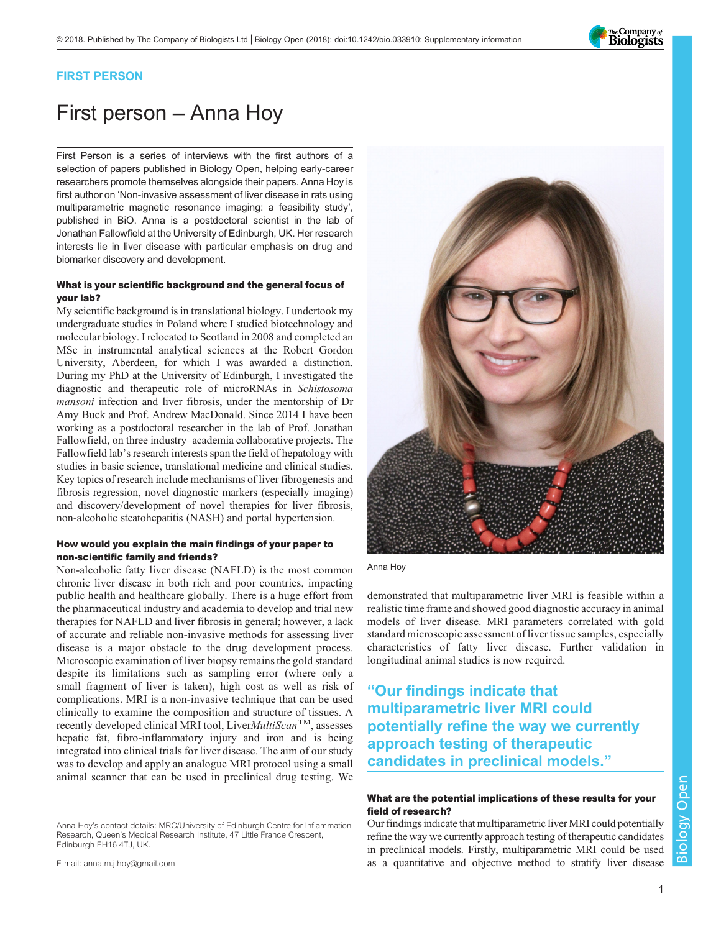

# FIRST PERSON

# First person – Anna Hoy

First Person is a series of interviews with the first authors of a selection of papers published in Biology Open, helping early-career researchers promote themselves alongside their papers. Anna Hoy is first author on '[Non-invasive assessment of liver disease in rats using](#page-1-0) [multiparametric magnetic resonance imaging: a feasibility study](#page-1-0)', published in BiO. Anna is a postdoctoral scientist in the lab of Jonathan Fallowfield at the University of Edinburgh, UK. Her research interests lie in liver disease with particular emphasis on drug and biomarker discovery and development.

#### What is your scientific background and the general focus of your lab?

My scientific background is in translational biology. I undertook my undergraduate studies in Poland where I studied biotechnology and molecular biology. I relocated to Scotland in 2008 and completed an MSc in instrumental analytical sciences at the Robert Gordon University, Aberdeen, for which I was awarded a distinction. During my PhD at the University of Edinburgh, I investigated the diagnostic and therapeutic role of microRNAs in Schistosoma mansoni infection and liver fibrosis, under the mentorship of Dr Amy Buck and Prof. Andrew MacDonald. Since 2014 I have been working as a postdoctoral researcher in the lab of Prof. Jonathan Fallowfield, on three industry–academia collaborative projects. The Fallowfield lab's research interests span the field of hepatology with studies in basic science, translational medicine and clinical studies. Key topics of research include mechanisms of liver fibrogenesis and fibrosis regression, novel diagnostic markers (especially imaging) and discovery/development of novel therapies for liver fibrosis, non-alcoholic steatohepatitis (NASH) and portal hypertension.

#### How would you explain the main findings of your paper to non-scientific family and friends?

Non-alcoholic fatty liver disease (NAFLD) is the most common chronic liver disease in both rich and poor countries, impacting public health and healthcare globally. There is a huge effort from the pharmaceutical industry and academia to develop and trial new therapies for NAFLD and liver fibrosis in general; however, a lack of accurate and reliable non-invasive methods for assessing liver disease is a major obstacle to the drug development process. Microscopic examination of liver biopsy remains the gold standard despite its limitations such as sampling error (where only a small fragment of liver is taken), high cost as well as risk of complications. MRI is a non-invasive technique that can be used clinically to examine the composition and structure of tissues. A recently developed clinical MRI tool, LiverMultiScan™, assesses hepatic fat, fibro-inflammatory injury and iron and is being integrated into clinical trials for liver disease. The aim of our study was to develop and apply an analogue MRI protocol using a small animal scanner that can be used in preclinical drug testing. We



Anna Hoy

demonstrated that multiparametric liver MRI is feasible within a realistic time frame and showed good diagnostic accuracy in animal models of liver disease. MRI parameters correlated with gold standard microscopic assessment of liver tissue samples, especially characteristics of fatty liver disease. Further validation in longitudinal animal studies is now required.

"Our findings indicate that multiparametric liver MRI could potentially refine the way we currently approach testing of therapeutic candidates in preclinical models."

## What are the potential implications of these results for your field of research?

Our findings indicate that multiparametric liver MRI could potentially refine the way we currently approach testing of therapeutic candidates in preclinical models. Firstly, multiparametric MRI could be used as a quantitative and objective method to stratify liver disease

Anna Hoy's contact details: MRC/University of Edinburgh Centre for Inflammation Research, Queen's Medical Research Institute, 47 Little France Crescent, Edinburgh EH16 4TJ, UK.